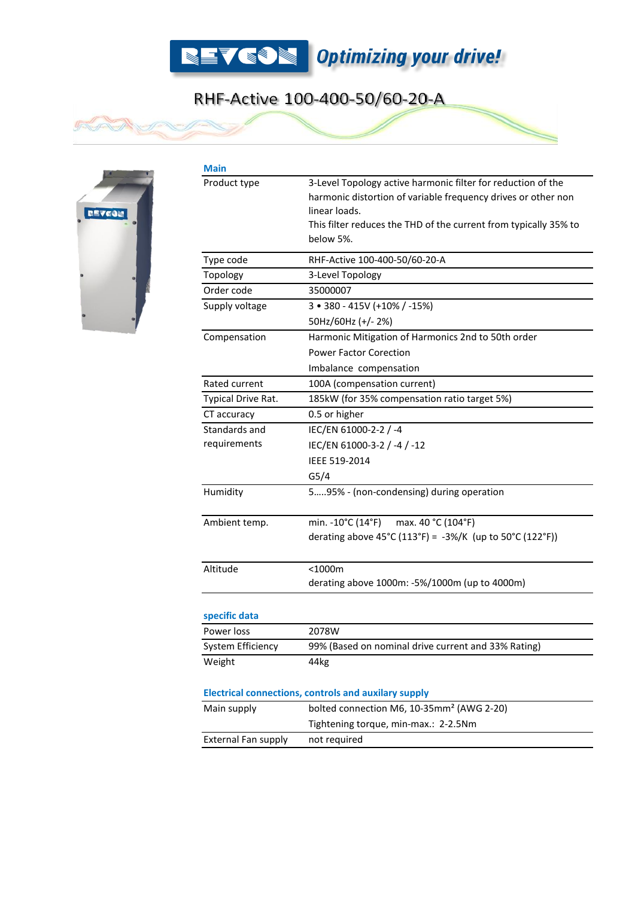

## RHF-Active 100-400-50/60-20-A



**Main** 

 $\sqrt{2}$ 

| Product type                                                | 3-Level Topology active harmonic filter for reduction of the                  |
|-------------------------------------------------------------|-------------------------------------------------------------------------------|
|                                                             | harmonic distortion of variable frequency drives or other non                 |
|                                                             | linear loads.                                                                 |
|                                                             | This filter reduces the THD of the current from typically 35% to<br>below 5%. |
|                                                             |                                                                               |
| Type code                                                   | RHF-Active 100-400-50/60-20-A                                                 |
| Topology                                                    | 3-Level Topology                                                              |
| Order code                                                  | 35000007                                                                      |
| Supply voltage                                              | 3 • 380 - 415V (+10% / -15%)                                                  |
|                                                             | 50Hz/60Hz (+/-2%)                                                             |
| Compensation                                                | Harmonic Mitigation of Harmonics 2nd to 50th order                            |
|                                                             | <b>Power Factor Corection</b>                                                 |
|                                                             | Imbalance compensation                                                        |
| Rated current                                               | 100A (compensation current)                                                   |
| Typical Drive Rat.                                          | 185kW (for 35% compensation ratio target 5%)                                  |
| CT accuracy                                                 | 0.5 or higher                                                                 |
| Standards and                                               | IEC/EN 61000-2-2 / -4                                                         |
| requirements                                                | IEC/EN 61000-3-2 / -4 / -12                                                   |
|                                                             | IEEE 519-2014                                                                 |
|                                                             | G5/4                                                                          |
| Humidity                                                    | 595% - (non-condensing) during operation                                      |
|                                                             |                                                                               |
| Ambient temp.                                               | min. -10°C (14°F)<br>max. 40 °C (104°F)                                       |
|                                                             | derating above 45°C (113°F) = -3%/K (up to 50°C (122°F))                      |
|                                                             |                                                                               |
| Altitude                                                    | $<$ 1000 $m$                                                                  |
|                                                             | derating above 1000m: -5%/1000m (up to 4000m)                                 |
|                                                             |                                                                               |
| specific data                                               |                                                                               |
| Power loss                                                  | 2078W                                                                         |
| System Efficiency                                           | 99% (Based on nominal drive current and 33% Rating)                           |
| Weight                                                      | 44kg                                                                          |
|                                                             |                                                                               |
| <b>Electrical connections, controls and auxilary supply</b> |                                                                               |
| Main supply                                                 | bolted connection M6, 10-35mm <sup>2</sup> (AWG 2-20)                         |
|                                                             | Tightening torque, min-max.: 2-2.5Nm                                          |
| <b>External Fan supply</b>                                  | not required                                                                  |
|                                                             |                                                                               |